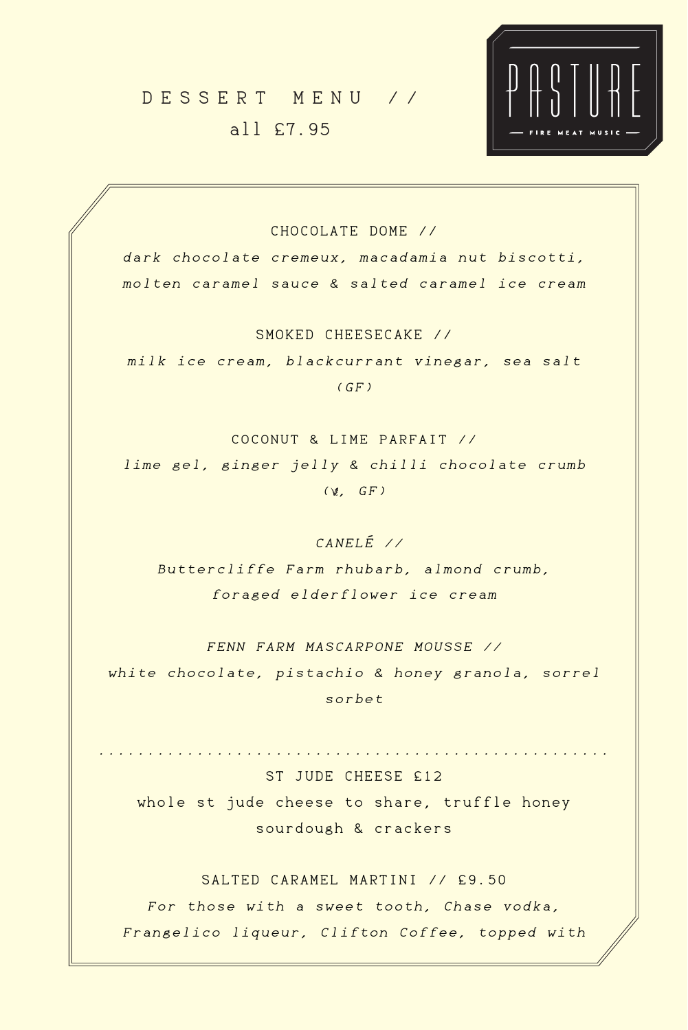#### CHOCOLATE DOME //

dark chocolate cremeux, macadamia nut biscotti, molten caramel sauce & salted caramel ice cream

milk ice cream, blackcurrant vinegar, sea salt  $(GF)$ 

lime gel, ginger jelly & chilli chocolate crumb  $(\&, GF)$ 

SMOKED CHEESECAKE //

COCONUT & LIME PARFAIT //

CANELÉ //

Buttercliffe Farm rhubarb, almond crumb, foraged elderflower ice cream

ST JUDE CHEESE £12 whole st jude cheese to share, truffle honey sourdough & crackers SALTED CARAMEL MARTINI // £9.50 For those with a sweet tooth, Chase vodka, Frangelico liqueur, Clifton Coffee, topped with

FENN FARM MASCARPONE MOUSSE //

white chocolate, pistachio & honey granola, sorrel

sorbet

....................................................

# DESSERT MENU // all £7.95